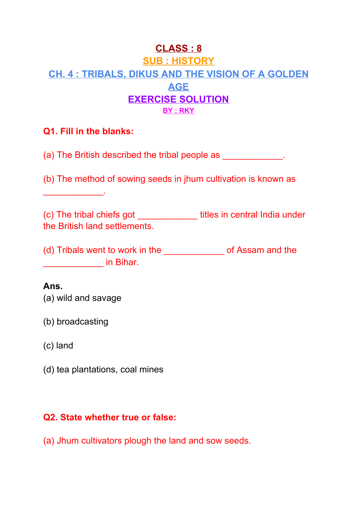# **CLASS : 8 SUB : HISTORY CH. 4 : TRIBALS, DIKUS AND THE VISION OF A GOLDEN AGE EXERCISE SOLUTION BY : RKY**

#### **Q1. Fill in the blanks:**

 $\frac{1}{2}$  ,  $\frac{1}{2}$  ,  $\frac{1}{2}$  ,  $\frac{1}{2}$  ,  $\frac{1}{2}$  ,  $\frac{1}{2}$  ,  $\frac{1}{2}$ 

(a) The British described the tribal people as  $\qquad \qquad$ .

(b) The method of sowing seeds in jhum cultivation is known as

(c) The tribal chiefs got \_\_\_\_\_\_\_\_\_\_\_\_ titles in central India under the British land settlements.

(d) Tribals went to work in the \_\_\_\_\_\_\_\_\_\_\_\_\_\_\_ of Assam and the \_\_\_\_\_\_\_\_\_\_\_\_ in Bihar.

#### **Ans.**

(a) wild and savage

(b) broadcasting

(c) land

(d) tea plantations, coal mines

#### **Q2. State whether true or false:**

(a) Jhum cultivators plough the land and sow seeds.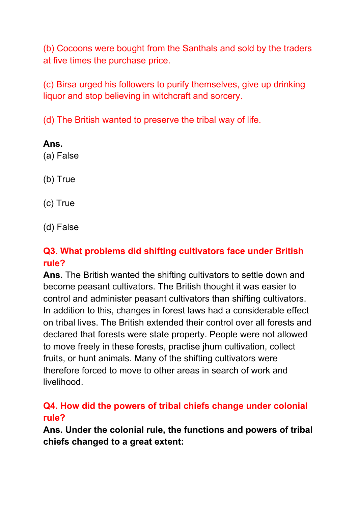(b) Cocoons were bought from the Santhals and sold by the traders at five times the purchase price.

(c) Birsa urged his followers to purify themselves, give up drinking liquor and stop believing in witchcraft and sorcery.

(d) The British wanted to preserve the tribal way of life.

**Ans.** (a) False

(b) True

(c) True

(d) False

## **Q3. What problems did shifting cultivators face under British rule?**

**Ans.** The British wanted the shifting cultivators to settle down and become peasant cultivators. The British thought it was easier to control and administer peasant cultivators than shifting cultivators. In addition to this, changes in forest laws had a considerable effect on tribal lives. The British extended their control over all forests and declared that forests were state property. People were not allowed to move freely in these forests, practise jhum cultivation, collect fruits, or hunt animals. Many of the shifting cultivators were therefore forced to move to other areas in search of work and livelihood.

## **Q4. How did the powers of tribal chiefs change under colonial rule?**

**Ans. Under the colonial rule, the functions and powers of tribal chiefs changed to a great extent:**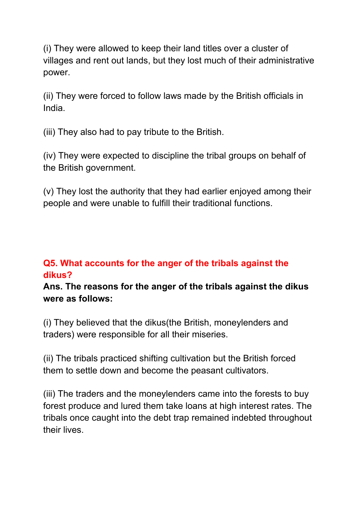(i) They were allowed to keep their land titles over a cluster of villages and rent out lands, but they lost much of their administrative power.

(ii) They were forced to follow laws made by the British officials in India.

(iii) They also had to pay tribute to the British.

(iv) They were expected to discipline the tribal groups on behalf of the British government.

(v) They lost the authority that they had earlier enjoyed among their people and were unable to fulfill their traditional functions.

## **Q5. What accounts for the anger of the tribals against the dikus?**

**Ans. The reasons for the anger of the tribals against the dikus were as follows:**

(i) They believed that the dikus(the British, moneylenders and traders) were responsible for all their miseries.

(ii) The tribals practiced shifting cultivation but the British forced them to settle down and become the peasant cultivators.

(iii) The traders and the moneylenders came into the forests to buy forest produce and lured them take loans at high interest rates. The tribals once caught into the debt trap remained indebted throughout their lives.